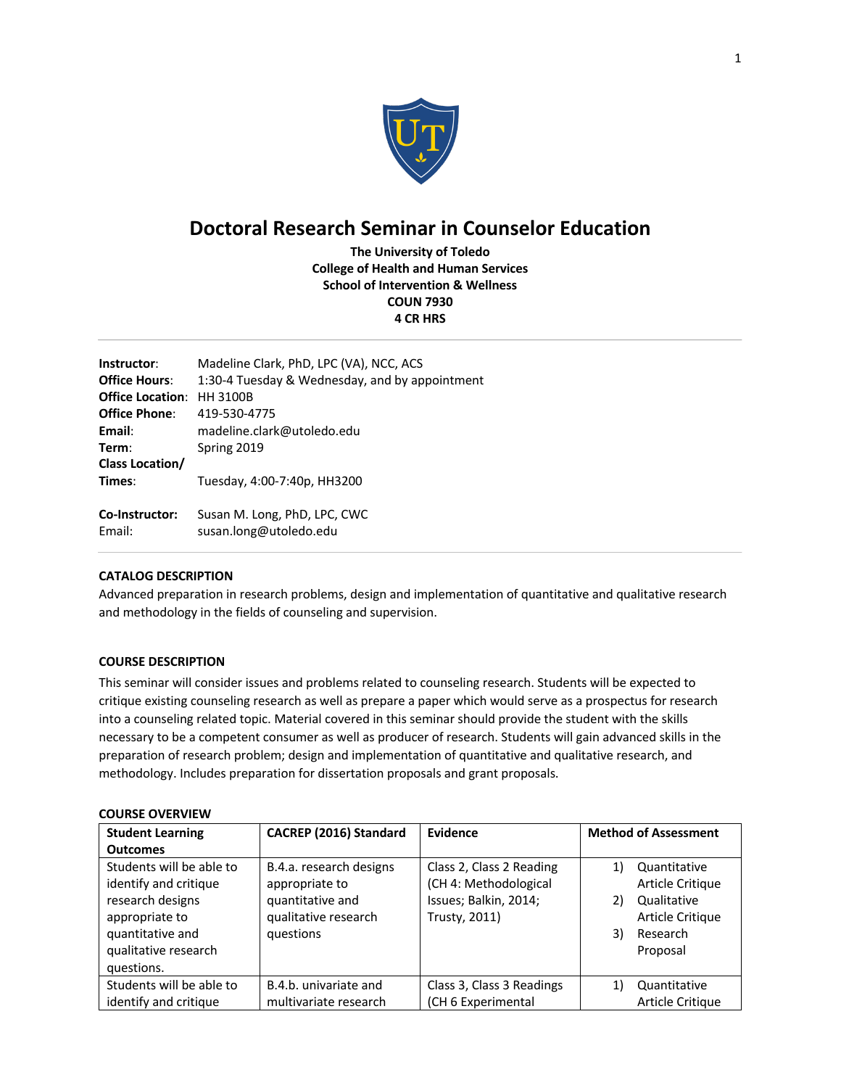

# **Doctoral Research Seminar in Counselor Education**

**The University of Toledo College of Health and Human Services School of Intervention & Wellness COUN 7930 4 CR HRS**

| Instructor:<br><b>Office Hours:</b><br><b>Office Location:</b><br><b>Office Phone:</b><br>Email: | Madeline Clark, PhD, LPC (VA), NCC, ACS<br>1:30-4 Tuesday & Wednesday, and by appointment<br><b>HH 3100B</b><br>419-530-4775<br>madeline.clark@utoledo.edu |
|--------------------------------------------------------------------------------------------------|------------------------------------------------------------------------------------------------------------------------------------------------------------|
| Term:                                                                                            | Spring 2019                                                                                                                                                |
| Class Location/                                                                                  |                                                                                                                                                            |
| Times:                                                                                           | Tuesday, 4:00-7:40p, HH3200                                                                                                                                |
| Co-Instructor:<br>Fmail:                                                                         | Susan M. Long, PhD, LPC, CWC<br>susan.long@utoledo.edu                                                                                                     |

# **CATALOG DESCRIPTION**

Advanced preparation in research problems, design and implementation of quantitative and qualitative research and methodology in the fields of counseling and supervision.

# **COURSE DESCRIPTION**

This seminar will consider issues and problems related to counseling research. Students will be expected to critique existing counseling research as well as prepare a paper which would serve as a prospectus for research into a counseling related topic. Material covered in this seminar should provide the student with the skills necessary to be a competent consumer as well as producer of research. Students will gain advanced skills in the preparation of research problem; design and implementation of quantitative and qualitative research, and methodology. Includes preparation for dissertation proposals and grant proposals.

| <b>Student Learning</b>  | CACREP (2016) Standard  | Evidence                  | <b>Method of Assessment</b> |
|--------------------------|-------------------------|---------------------------|-----------------------------|
| <b>Outcomes</b>          |                         |                           |                             |
| Students will be able to | B.4.a. research designs | Class 2, Class 2 Reading  | 1)<br>Quantitative          |
| identify and critique    | appropriate to          | (CH 4: Methodological     | Article Critique            |
| research designs         | quantitative and        | Issues; Balkin, 2014;     | Qualitative<br>2)           |
| appropriate to           | qualitative research    | Trusty, 2011)             | Article Critique            |
| quantitative and         | questions               |                           | 3)<br>Research              |
| qualitative research     |                         |                           | Proposal                    |
| questions.               |                         |                           |                             |
| Students will be able to | B.4.b. univariate and   | Class 3, Class 3 Readings | 1)<br>Quantitative          |
| identify and critique    | multivariate research   | (CH 6 Experimental        | Article Critique            |

# **COURSE OVERVIEW**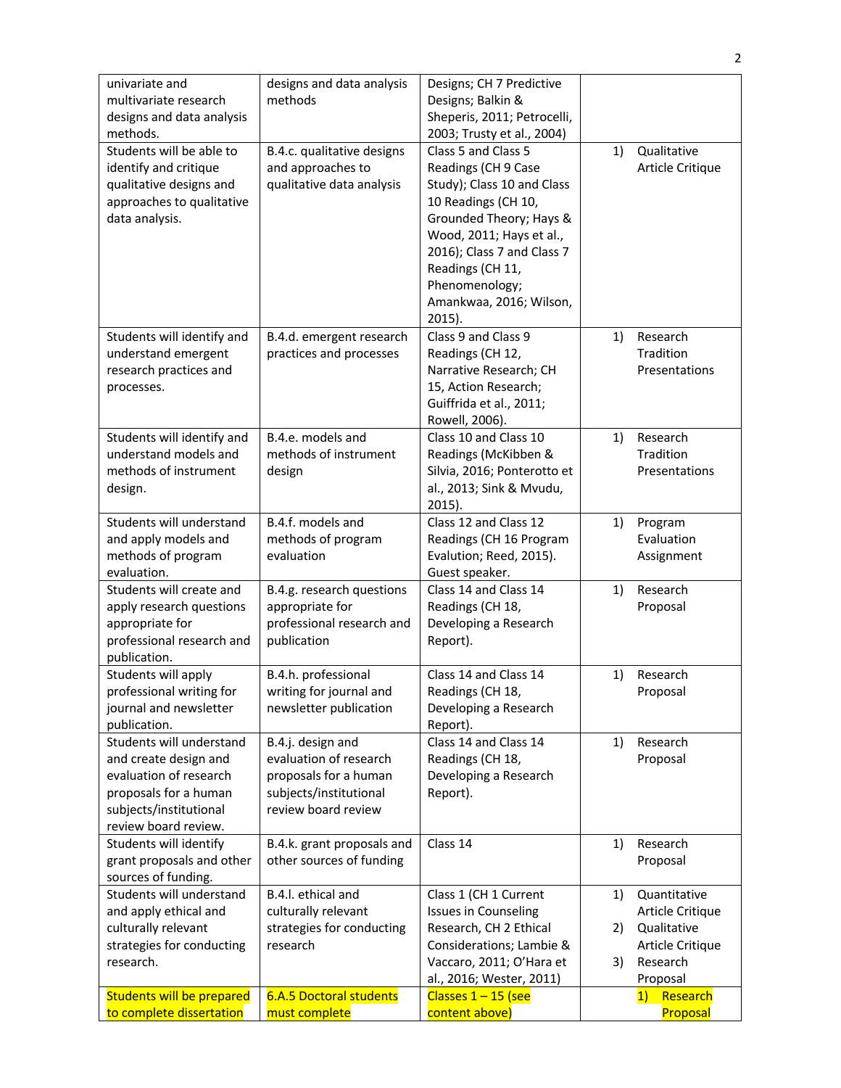| univariate and<br>multivariate research<br>designs and data analysis<br>methods.                                                                       | designs and data analysis<br>methods                                                                                  | Designs; CH 7 Predictive<br>Designs; Balkin &<br>Sheperis, 2011; Petrocelli,<br>2003; Trusty et al., 2004)                                                                                                                                                         |    |                                        |
|--------------------------------------------------------------------------------------------------------------------------------------------------------|-----------------------------------------------------------------------------------------------------------------------|--------------------------------------------------------------------------------------------------------------------------------------------------------------------------------------------------------------------------------------------------------------------|----|----------------------------------------|
| Students will be able to<br>identify and critique<br>qualitative designs and<br>approaches to qualitative<br>data analysis.                            | B.4.c. qualitative designs<br>and approaches to<br>qualitative data analysis                                          | Class 5 and Class 5<br>Readings (CH 9 Case<br>Study); Class 10 and Class<br>10 Readings (CH 10,<br>Grounded Theory; Hays &<br>Wood, 2011; Hays et al.,<br>2016); Class 7 and Class 7<br>Readings (CH 11,<br>Phenomenology;<br>Amankwaa, 2016; Wilson,<br>$2015$ ). | 1) | Qualitative<br>Article Critique        |
| Students will identify and<br>understand emergent<br>research practices and<br>processes.                                                              | B.4.d. emergent research<br>practices and processes                                                                   | Class 9 and Class 9<br>Readings (CH 12,<br>Narrative Research; CH<br>15, Action Research;<br>Guiffrida et al., 2011;<br>Rowell, 2006).                                                                                                                             | 1) | Research<br>Tradition<br>Presentations |
| Students will identify and<br>understand models and<br>methods of instrument<br>design.                                                                | B.4.e. models and<br>methods of instrument<br>design                                                                  | Class 10 and Class 10<br>Readings (McKibben &<br>Silvia, 2016; Ponterotto et<br>al., 2013; Sink & Mvudu,<br>$2015$ ).                                                                                                                                              | 1) | Research<br>Tradition<br>Presentations |
| Students will understand<br>and apply models and<br>methods of program<br>evaluation.                                                                  | B.4.f. models and<br>methods of program<br>evaluation                                                                 | Class 12 and Class 12<br>Readings (CH 16 Program<br>Evalution; Reed, 2015).<br>Guest speaker.                                                                                                                                                                      | 1) | Program<br>Evaluation<br>Assignment    |
| Students will create and<br>apply research questions<br>appropriate for<br>professional research and<br>publication.                                   | B.4.g. research questions<br>appropriate for<br>professional research and<br>publication                              | Class 14 and Class 14<br>Readings (CH 18,<br>Developing a Research<br>Report).                                                                                                                                                                                     | 1) | Research<br>Proposal                   |
| Students will apply<br>professional writing for<br>journal and newsletter<br>publication.                                                              | B.4.h. professional<br>writing for journal and<br>newsletter publication                                              | Class 14 and Class 14<br>Readings (CH 18,<br>Developing a Research<br>Report).                                                                                                                                                                                     | 1) | Research<br>Proposal                   |
| Students will understand<br>and create design and<br>evaluation of research<br>proposals for a human<br>subjects/institutional<br>review board review. | B.4.j. design and<br>evaluation of research<br>proposals for a human<br>subjects/institutional<br>review board review | Class 14 and Class 14<br>Readings (CH 18,<br>Developing a Research<br>Report).                                                                                                                                                                                     | 1) | Research<br>Proposal                   |
| Students will identify<br>grant proposals and other<br>sources of funding.                                                                             | B.4.k. grant proposals and<br>other sources of funding                                                                | Class 14                                                                                                                                                                                                                                                           | 1) | Research<br>Proposal                   |
| Students will understand                                                                                                                               | B.4.I. ethical and                                                                                                    | Class 1 (CH 1 Current                                                                                                                                                                                                                                              | 1) | Quantitative                           |
| and apply ethical and<br>culturally relevant                                                                                                           | culturally relevant<br>strategies for conducting                                                                      | <b>Issues in Counseling</b><br>Research, CH 2 Ethical                                                                                                                                                                                                              | 2) | Article Critique<br>Qualitative        |
| strategies for conducting                                                                                                                              | research                                                                                                              | Considerations; Lambie &                                                                                                                                                                                                                                           |    | Article Critique                       |
| research.                                                                                                                                              |                                                                                                                       | Vaccaro, 2011; O'Hara et                                                                                                                                                                                                                                           | 3) | Research                               |
|                                                                                                                                                        | <b>6.A.5 Doctoral students</b>                                                                                        | al., 2016; Wester, 2011)<br>Classes $1 - 15$ (see                                                                                                                                                                                                                  |    | Proposal<br>Research                   |
| <b>Students will be prepared</b><br>to complete dissertation                                                                                           | must complete                                                                                                         | content above)                                                                                                                                                                                                                                                     |    | 1)<br>Proposal                         |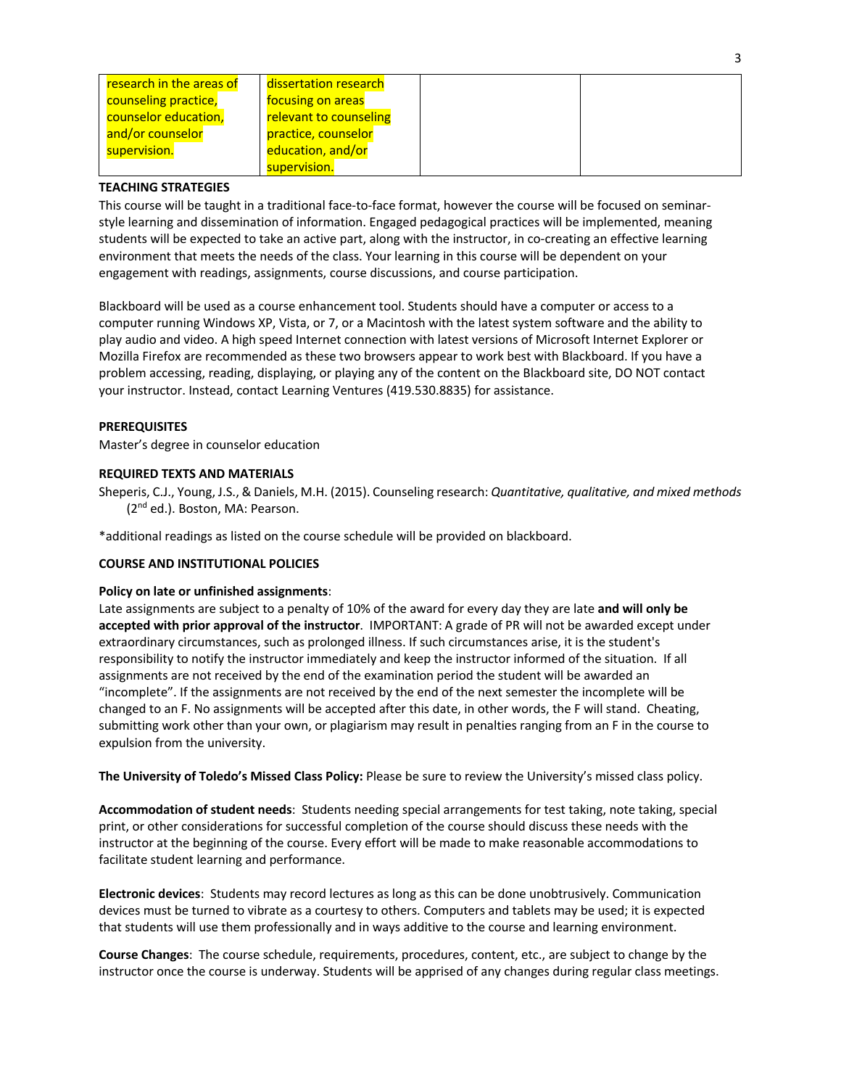| research in the areas of | dissertation research  |
|--------------------------|------------------------|
| counseling practice,     | focusing on areas      |
| counselor education,     | relevant to counseling |
| and/or counselor         | practice, counselor    |
| supervision.             | education, and/or      |
|                          | supervision.           |

# **TEACHING STRATEGIES**

This course will be taught in a traditional face-to-face format, however the course will be focused on seminarstyle learning and dissemination of information. Engaged pedagogical practices will be implemented, meaning students will be expected to take an active part, along with the instructor, in co-creating an effective learning environment that meets the needs of the class. Your learning in this course will be dependent on your engagement with readings, assignments, course discussions, and course participation.

Blackboard will be used as a course enhancement tool. Students should have a computer or access to a computer running Windows XP, Vista, or 7, or a Macintosh with the latest system software and the ability to play audio and video. A high speed Internet connection with latest versions of Microsoft Internet Explorer or Mozilla Firefox are recommended as these two browsers appear to work best with Blackboard. If you have a problem accessing, reading, displaying, or playing any of the content on the Blackboard site, DO NOT contact your instructor. Instead, contact Learning Ventures (419.530.8835) for assistance.

# **PREREQUISITES**

Master's degree in counselor education

# **REQUIRED TEXTS AND MATERIALS**

Sheperis, C.J., Young, J.S., & Daniels, M.H. (2015). Counseling research: *Quantitative, qualitative, and mixed methods* (2nd ed.). Boston, MA: Pearson.

\*additional readings as listed on the course schedule will be provided on blackboard.

# **COURSE AND INSTITUTIONAL POLICIES**

# **Policy on late or unfinished assignments**:

Late assignments are subject to a penalty of 10% of the award for every day they are late **and will only be accepted with prior approval of the instructor**. IMPORTANT: A grade of PR will not be awarded except under extraordinary circumstances, such as prolonged illness. If such circumstances arise, it is the student's responsibility to notify the instructor immediately and keep the instructor informed of the situation. If all assignments are not received by the end of the examination period the student will be awarded an "incomplete". If the assignments are not received by the end of the next semester the incomplete will be changed to an F. No assignments will be accepted after this date, in other words, the F will stand. Cheating, submitting work other than your own, or plagiarism may result in penalties ranging from an F in the course to expulsion from the university.

**The University of Toledo's Missed Class Policy:** Please be sure to review the University's missed class policy.

**Accommodation of student needs**: Students needing special arrangements for test taking, note taking, special print, or other considerations for successful completion of the course should discuss these needs with the instructor at the beginning of the course. Every effort will be made to make reasonable accommodations to facilitate student learning and performance.

**Electronic devices**: Students may record lectures as long as this can be done unobtrusively. Communication devices must be turned to vibrate as a courtesy to others. Computers and tablets may be used; it is expected that students will use them professionally and in ways additive to the course and learning environment.

**Course Changes**: The course schedule, requirements, procedures, content, etc., are subject to change by the instructor once the course is underway. Students will be apprised of any changes during regular class meetings.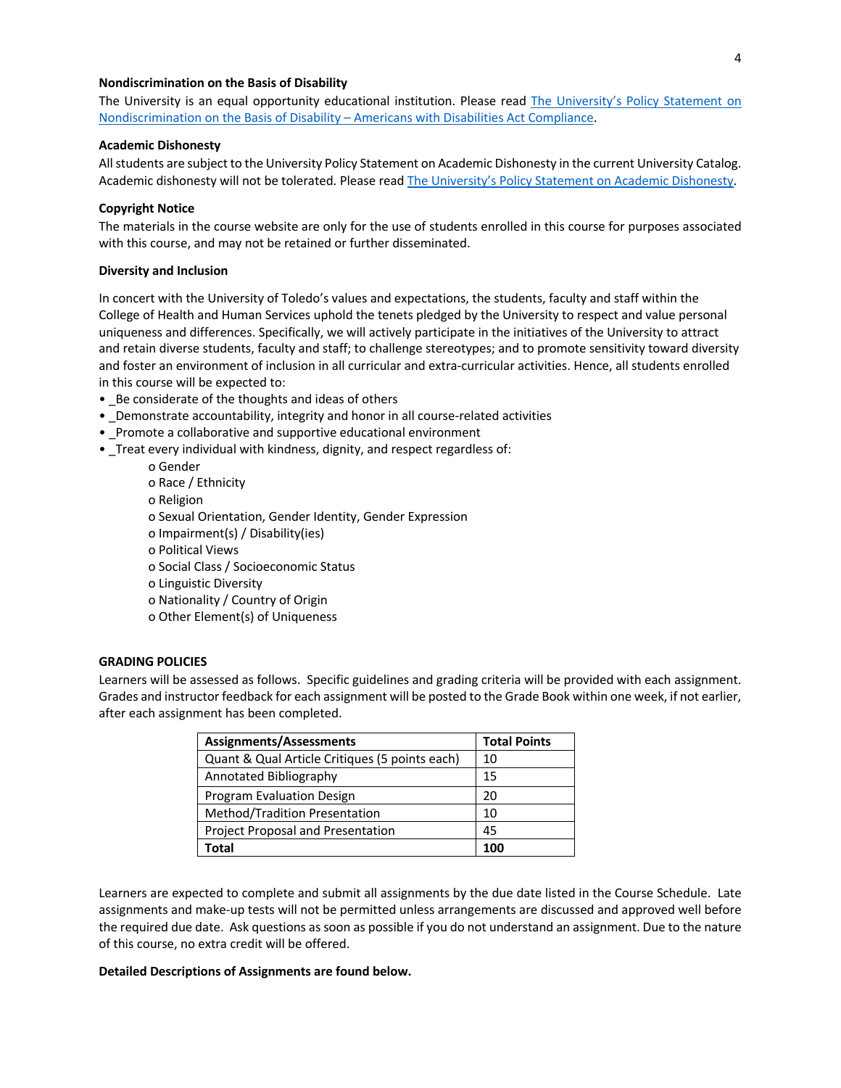# **Nondiscrimination on the Basis of Disability**

The University is an equal opportunity educational institution. Please read The University's Policy Statement on Nondiscrimination on the Basis of Disability – Americans with Disabilities Act Compliance.

#### **Academic Dishonesty**

All students are subject to the University Policy Statement on Academic Dishonesty in the current University Catalog. Academic dishonesty will not be tolerated. Please read The University's Policy Statement on Academic Dishonesty.

#### **Copyright Notice**

The materials in the course website are only for the use of students enrolled in this course for purposes associated with this course, and may not be retained or further disseminated.

### **Diversity and Inclusion**

In concert with the University of Toledo's values and expectations, the students, faculty and staff within the College of Health and Human Services uphold the tenets pledged by the University to respect and value personal uniqueness and differences. Specifically, we will actively participate in the initiatives of the University to attract and retain diverse students, faculty and staff; to challenge stereotypes; and to promote sensitivity toward diversity and foster an environment of inclusion in all curricular and extra-curricular activities. Hence, all students enrolled in this course will be expected to:

- Be considerate of the thoughts and ideas of others
- \_Demonstrate accountability, integrity and honor in all course-related activities
- Promote a collaborative and supportive educational environment
- \_Treat every individual with kindness, dignity, and respect regardless of:
	- o Gender
		- o Race / Ethnicity o Religion o Sexual Orientation, Gender Identity, Gender Expression o Impairment(s) / Disability(ies) o Political Views o Social Class / Socioeconomic Status o Linguistic Diversity o Nationality / Country of Origin o Other Element(s) of Uniqueness

### **GRADING POLICIES**

Learners will be assessed as follows. Specific guidelines and grading criteria will be provided with each assignment. Grades and instructor feedback for each assignment will be posted to the Grade Book within one week, if not earlier, after each assignment has been completed.

| <b>Assignments/Assessments</b>                 | <b>Total Points</b> |
|------------------------------------------------|---------------------|
| Quant & Qual Article Critiques (5 points each) | 10                  |
| Annotated Bibliography                         | 15                  |
| Program Evaluation Design                      | 20                  |
| Method/Tradition Presentation                  | 10                  |
| Project Proposal and Presentation              | 45                  |
| Total                                          | 100                 |

Learners are expected to complete and submit all assignments by the due date listed in the Course Schedule. Late assignments and make-up tests will not be permitted unless arrangements are discussed and approved well before the required due date. Ask questions as soon as possible if you do not understand an assignment. Due to the nature of this course, no extra credit will be offered.

#### **Detailed Descriptions of Assignments are found below.**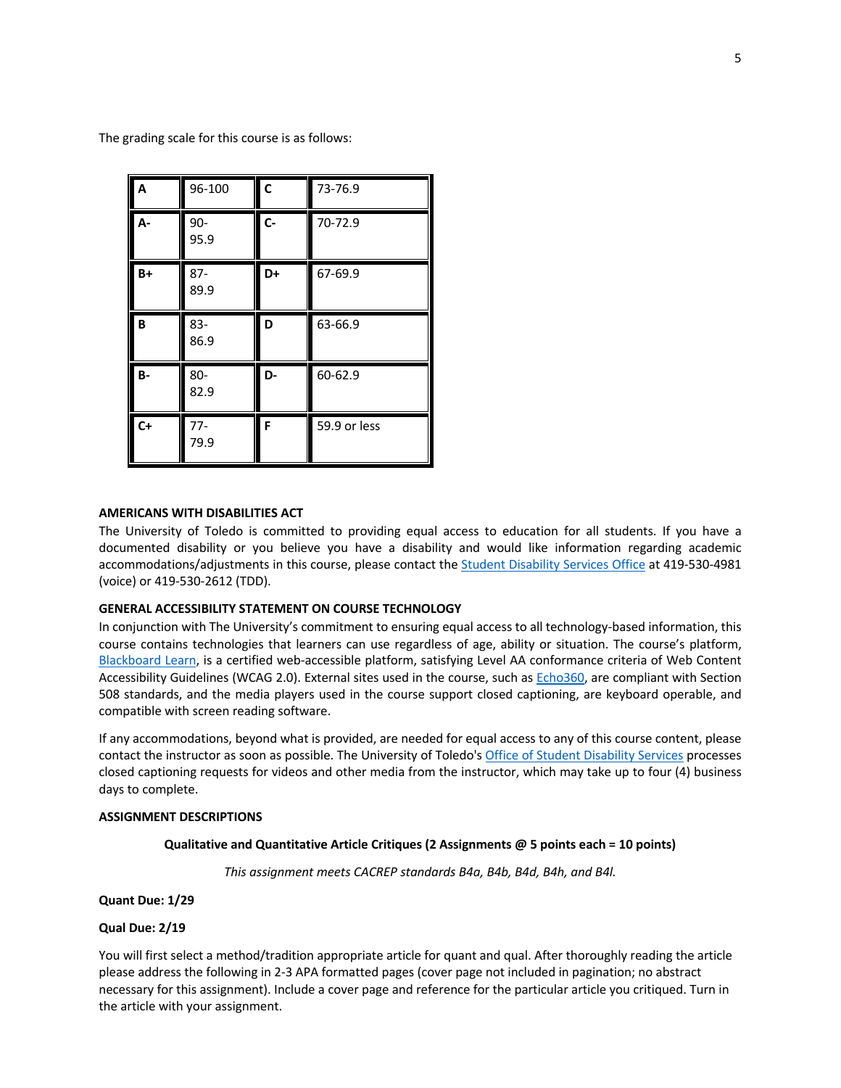The grading scale for this course is as follows:

| A         | 96-100         | $\mathsf{C}$ | 73-76.9      |
|-----------|----------------|--------------|--------------|
| А-        | $90 -$<br>95.9 | $C -$        | 70-72.9      |
| $B+$      | $87-$<br>89.9  | D+           | 67-69.9      |
| B         | 83-<br>86.9    | D            | 63-66.9      |
| <b>B-</b> | 80-<br>82.9    | D-           | 60-62.9      |
| $C+$      | $77 -$<br>79.9 | F            | 59.9 or less |

# **AMERICANS WITH DISABILITIES ACT**

The University of Toledo is committed to providing equal access to education for all students. If you have a documented disability or you believe you have a disability and would like information regarding academic accommodations/adjustments in this course, please contact the Student Disability Services Office at 419-530-4981 (voice) or 419-530-2612 (TDD).

### **GENERAL ACCESSIBILITY STATEMENT ON COURSE TECHNOLOGY**

In conjunction with The University's commitment to ensuring equal access to all technology-based information, this course contains technologies that learners can use regardless of age, ability or situation. The course's platform, Blackboard Learn, is a certified web-accessible platform, satisfying Level AA conformance criteria of Web Content Accessibility Guidelines (WCAG 2.0). External sites used in the course, such as Echo360, are compliant with Section 508 standards, and the media players used in the course support closed captioning, are keyboard operable, and compatible with screen reading software.

If any accommodations, beyond what is provided, are needed for equal access to any of this course content, please contact the instructor as soon as possible. The University of Toledo's Office of Student Disability Services processes closed captioning requests for videos and other media from the instructor, which may take up to four (4) business days to complete.

# **ASSIGNMENT DESCRIPTIONS**

#### **Qualitative and Quantitative Article Critiques (2 Assignments @ 5 points each = 10 points)**

*This assignment meets CACREP standards B4a, B4b, B4d, B4h, and B4l.* 

**Quant Due: 1/29**

# **Qual Due: 2/19**

You will first select a method/tradition appropriate article for quant and qual. After thoroughly reading the article please address the following in 2-3 APA formatted pages (cover page not included in pagination; no abstract necessary for this assignment). Include a cover page and reference for the particular article you critiqued. Turn in the article with your assignment.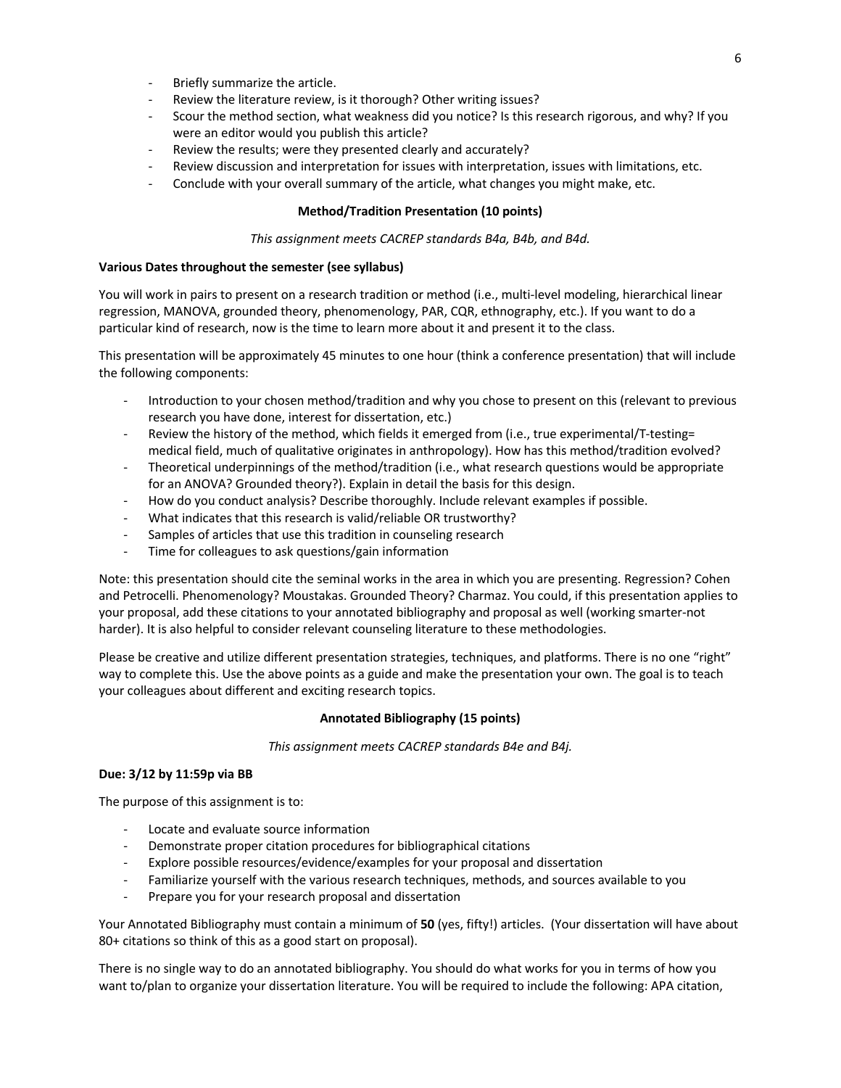- Briefly summarize the article.
- Review the literature review, is it thorough? Other writing issues?
- Scour the method section, what weakness did you notice? Is this research rigorous, and why? If you were an editor would you publish this article?
- Review the results; were they presented clearly and accurately?
- Review discussion and interpretation for issues with interpretation, issues with limitations, etc.
- Conclude with your overall summary of the article, what changes you might make, etc.

# **Method/Tradition Presentation (10 points)**

#### *This assignment meets CACREP standards B4a, B4b, and B4d.*

#### **Various Dates throughout the semester (see syllabus)**

You will work in pairs to present on a research tradition or method (i.e., multi-level modeling, hierarchical linear regression, MANOVA, grounded theory, phenomenology, PAR, CQR, ethnography, etc.). If you want to do a particular kind of research, now is the time to learn more about it and present it to the class.

This presentation will be approximately 45 minutes to one hour (think a conference presentation) that will include the following components:

- Introduction to your chosen method/tradition and why you chose to present on this (relevant to previous research you have done, interest for dissertation, etc.)
- Review the history of the method, which fields it emerged from (i.e., true experimental/T-testing= medical field, much of qualitative originates in anthropology). How has this method/tradition evolved?
- Theoretical underpinnings of the method/tradition (i.e., what research questions would be appropriate for an ANOVA? Grounded theory?). Explain in detail the basis for this design.
- How do you conduct analysis? Describe thoroughly. Include relevant examples if possible.
- What indicates that this research is valid/reliable OR trustworthy?
- Samples of articles that use this tradition in counseling research
- Time for colleagues to ask questions/gain information

Note: this presentation should cite the seminal works in the area in which you are presenting. Regression? Cohen and Petrocelli. Phenomenology? Moustakas. Grounded Theory? Charmaz. You could, if this presentation applies to your proposal, add these citations to your annotated bibliography and proposal as well (working smarter-not harder). It is also helpful to consider relevant counseling literature to these methodologies.

Please be creative and utilize different presentation strategies, techniques, and platforms. There is no one "right" way to complete this. Use the above points as a guide and make the presentation your own. The goal is to teach your colleagues about different and exciting research topics.

### **Annotated Bibliography (15 points)**

*This assignment meets CACREP standards B4e and B4j.* 

#### **Due: 3/12 by 11:59p via BB**

The purpose of this assignment is to:

- Locate and evaluate source information
- Demonstrate proper citation procedures for bibliographical citations
- Explore possible resources/evidence/examples for your proposal and dissertation
- Familiarize yourself with the various research techniques, methods, and sources available to you
- Prepare you for your research proposal and dissertation

Your Annotated Bibliography must contain a minimum of **50** (yes, fifty!) articles. (Your dissertation will have about 80+ citations so think of this as a good start on proposal).

There is no single way to do an annotated bibliography. You should do what works for you in terms of how you want to/plan to organize your dissertation literature. You will be required to include the following: APA citation,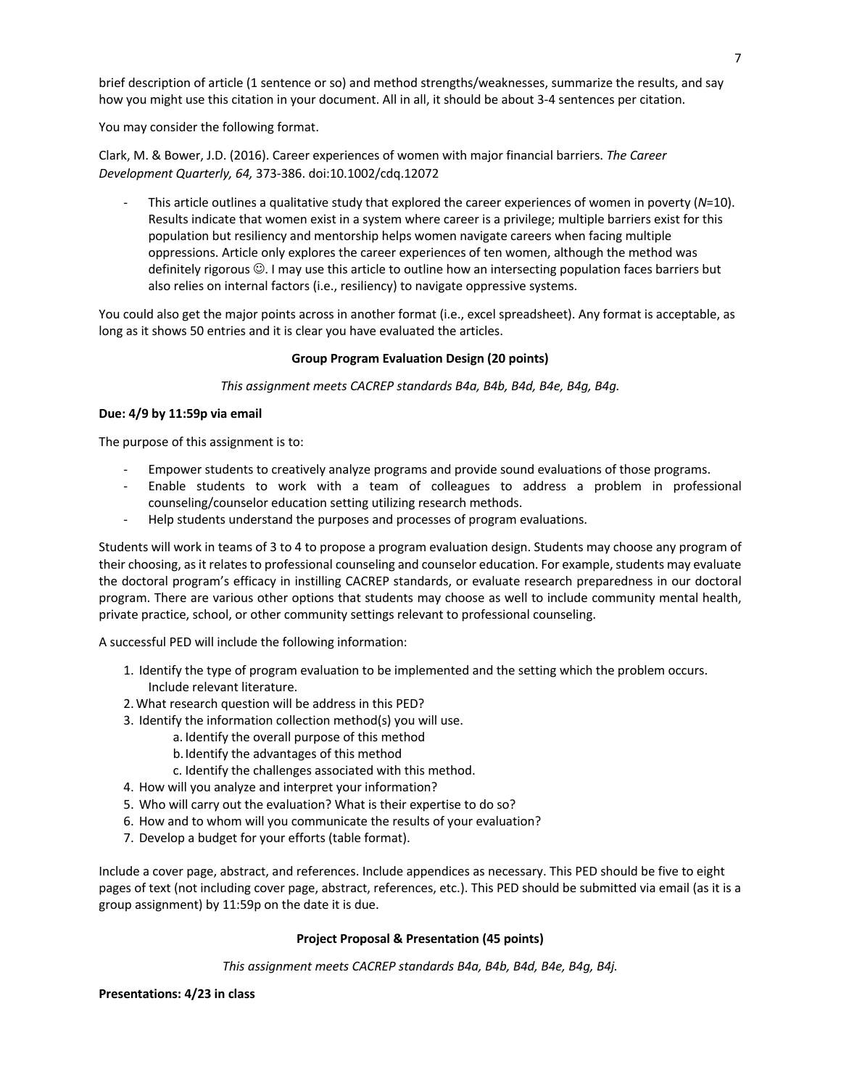brief description of article (1 sentence or so) and method strengths/weaknesses, summarize the results, and say how you might use this citation in your document. All in all, it should be about 3-4 sentences per citation.

You may consider the following format.

Clark, M. & Bower, J.D. (2016). Career experiences of women with major financial barriers. *The Career Development Quarterly, 64,* 373-386. doi:10.1002/cdq.12072

- This article outlines a qualitative study that explored the career experiences of women in poverty (*N*=10). Results indicate that women exist in a system where career is a privilege; multiple barriers exist for this population but resiliency and mentorship helps women navigate careers when facing multiple oppressions. Article only explores the career experiences of ten women, although the method was definitely rigorous  $\odot$ . I may use this article to outline how an intersecting population faces barriers but also relies on internal factors (i.e., resiliency) to navigate oppressive systems.

You could also get the major points across in another format (i.e., excel spreadsheet). Any format is acceptable, as long as it shows 50 entries and it is clear you have evaluated the articles.

# **Group Program Evaluation Design (20 points)**

*This assignment meets CACREP standards B4a, B4b, B4d, B4e, B4g, B4g.*

# **Due: 4/9 by 11:59p via email**

The purpose of this assignment is to:

- Empower students to creatively analyze programs and provide sound evaluations of those programs.
- Enable students to work with a team of colleagues to address a problem in professional counseling/counselor education setting utilizing research methods.
- Help students understand the purposes and processes of program evaluations.

Students will work in teams of 3 to 4 to propose a program evaluation design. Students may choose any program of their choosing, as it relates to professional counseling and counselor education. For example, students may evaluate the doctoral program's efficacy in instilling CACREP standards, or evaluate research preparedness in our doctoral program. There are various other options that students may choose as well to include community mental health, private practice, school, or other community settings relevant to professional counseling.

A successful PED will include the following information:

- 1. Identify the type of program evaluation to be implemented and the setting which the problem occurs. Include relevant literature.
- 2.What research question will be address in this PED?
- 3. Identify the information collection method(s) you will use.
	- a. Identify the overall purpose of this method
	- b.Identify the advantages of this method
	- c. Identify the challenges associated with this method.
- 4. How will you analyze and interpret your information?
- 5. Who will carry out the evaluation? What is their expertise to do so?
- 6. How and to whom will you communicate the results of your evaluation?
- 7. Develop a budget for your efforts (table format).

Include a cover page, abstract, and references. Include appendices as necessary. This PED should be five to eight pages of text (not including cover page, abstract, references, etc.). This PED should be submitted via email (as it is a group assignment) by 11:59p on the date it is due.

# **Project Proposal & Presentation (45 points)**

*This assignment meets CACREP standards B4a, B4b, B4d, B4e, B4g, B4j.* 

# **Presentations: 4/23 in class**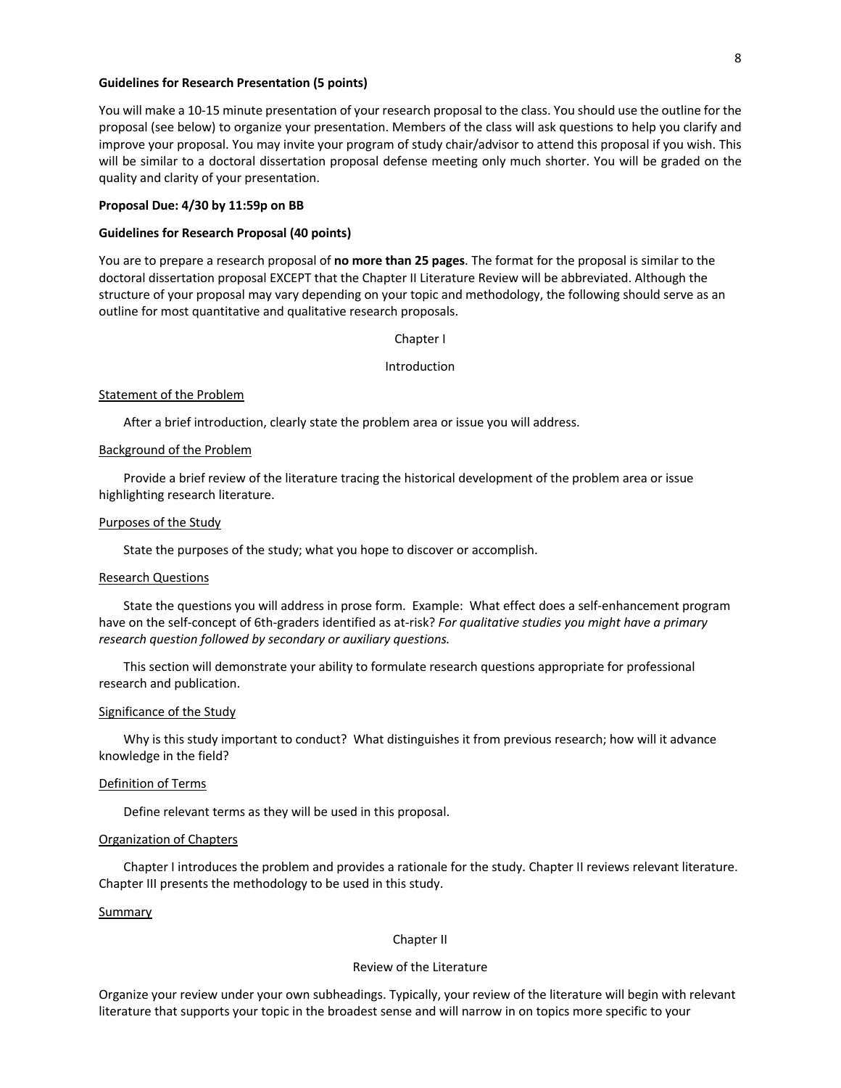### **Guidelines for Research Presentation (5 points)**

You will make a 10-15 minute presentation of your research proposal to the class. You should use the outline for the proposal (see below) to organize your presentation. Members of the class will ask questions to help you clarify and improve your proposal. You may invite your program of study chair/advisor to attend this proposal if you wish. This will be similar to a doctoral dissertation proposal defense meeting only much shorter. You will be graded on the quality and clarity of your presentation.

#### **Proposal Due: 4/30 by 11:59p on BB**

### **Guidelines for Research Proposal (40 points)**

You are to prepare a research proposal of **no more than 25 pages**. The format for the proposal is similar to the doctoral dissertation proposal EXCEPT that the Chapter II Literature Review will be abbreviated. Although the structure of your proposal may vary depending on your topic and methodology, the following should serve as an outline for most quantitative and qualitative research proposals.

#### Chapter I

#### Introduction

#### Statement of the Problem

After a brief introduction, clearly state the problem area or issue you will address.

#### Background of the Problem

Provide a brief review of the literature tracing the historical development of the problem area or issue highlighting research literature.

#### Purposes of the Study

State the purposes of the study; what you hope to discover or accomplish.

#### Research Questions

State the questions you will address in prose form. Example: What effect does a self-enhancement program have on the self-concept of 6th-graders identified as at-risk? *For qualitative studies you might have a primary research question followed by secondary or auxiliary questions.*

This section will demonstrate your ability to formulate research questions appropriate for professional research and publication.

#### Significance of the Study

Why is this study important to conduct? What distinguishes it from previous research; how will it advance knowledge in the field?

#### Definition of Terms

Define relevant terms as they will be used in this proposal.

#### Organization of Chapters

Chapter I introduces the problem and provides a rationale for the study. Chapter II reviews relevant literature. Chapter III presents the methodology to be used in this study.

#### Summary

### Chapter II

#### Review of the Literature

Organize your review under your own subheadings. Typically, your review of the literature will begin with relevant literature that supports your topic in the broadest sense and will narrow in on topics more specific to your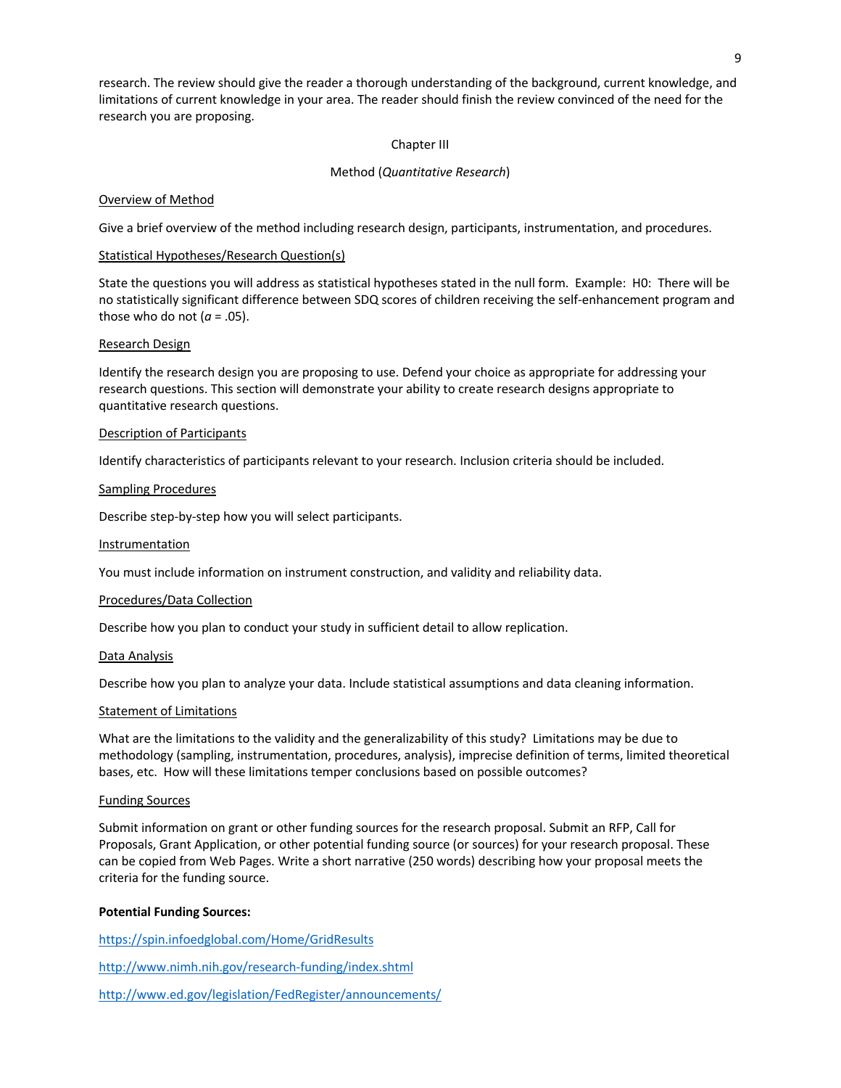research. The review should give the reader a thorough understanding of the background, current knowledge, and limitations of current knowledge in your area. The reader should finish the review convinced of the need for the research you are proposing.

### Chapter III

### Method (*Quantitative Research*)

### Overview of Method

Give a brief overview of the method including research design, participants, instrumentation, and procedures.

### Statistical Hypotheses/Research Question(s)

State the questions you will address as statistical hypotheses stated in the null form. Example: H0: There will be no statistically significant difference between SDQ scores of children receiving the self-enhancement program and those who do not  $(a = .05)$ .

#### Research Design

Identify the research design you are proposing to use. Defend your choice as appropriate for addressing your research questions. This section will demonstrate your ability to create research designs appropriate to quantitative research questions.

### Description of Participants

Identify characteristics of participants relevant to your research. Inclusion criteria should be included.

### Sampling Procedures

Describe step-by-step how you will select participants.

#### **Instrumentation**

You must include information on instrument construction, and validity and reliability data.

#### Procedures/Data Collection

Describe how you plan to conduct your study in sufficient detail to allow replication.

#### Data Analysis

Describe how you plan to analyze your data. Include statistical assumptions and data cleaning information.

#### Statement of Limitations

What are the limitations to the validity and the generalizability of this study? Limitations may be due to methodology (sampling, instrumentation, procedures, analysis), imprecise definition of terms, limited theoretical bases, etc. How will these limitations temper conclusions based on possible outcomes?

#### Funding Sources

Submit information on grant or other funding sources for the research proposal. Submit an RFP, Call for Proposals, Grant Application, or other potential funding source (or sources) for your research proposal. These can be copied from Web Pages. Write a short narrative (250 words) describing how your proposal meets the criteria for the funding source.

# **Potential Funding Sources:**

https://spin.infoedglobal.com/Home/GridResults http://www.nimh.nih.gov/research-funding/index.shtml http://www.ed.gov/legislation/FedRegister/announcements/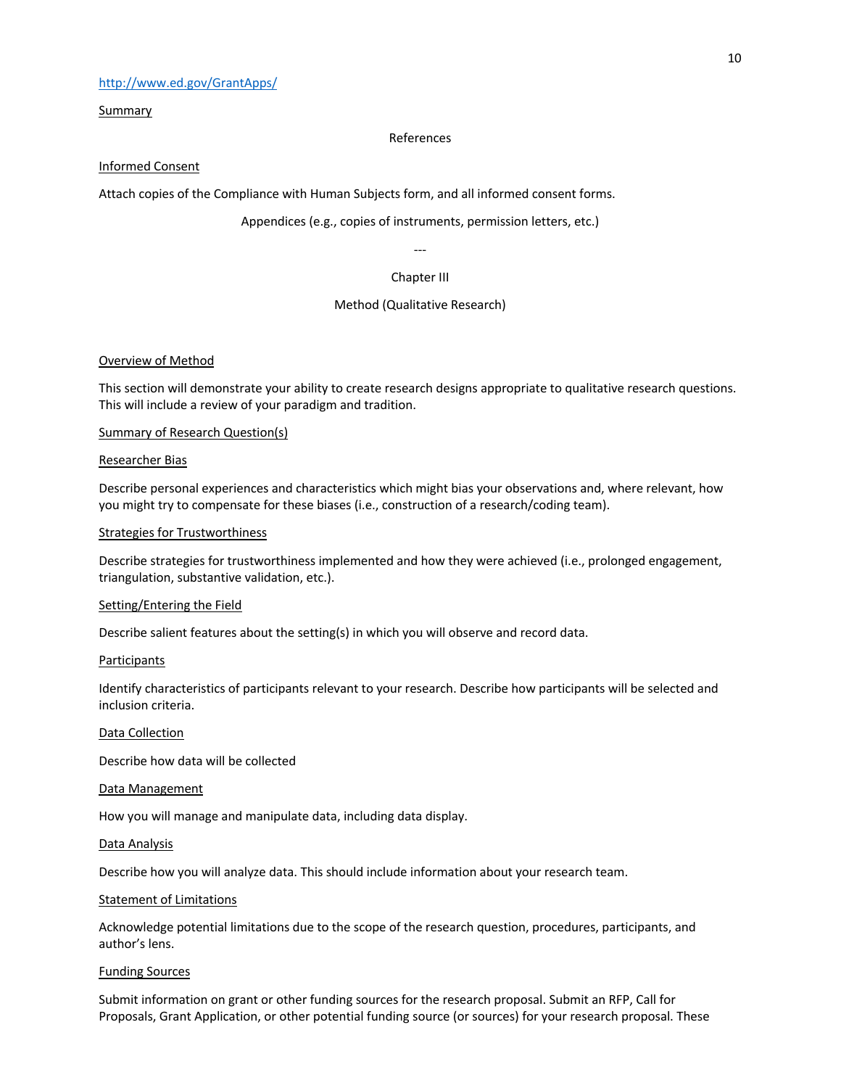# http://www.ed.gov/GrantApps/

Summary

### References

# Informed Consent

Attach copies of the Compliance with Human Subjects form, and all informed consent forms.

# Appendices (e.g., copies of instruments, permission letters, etc.)

# --- Chapter III

# Method (Qualitative Research)

# Overview of Method

This section will demonstrate your ability to create research designs appropriate to qualitative research questions. This will include a review of your paradigm and tradition.

# Summary of Research Question(s)

# Researcher Bias

Describe personal experiences and characteristics which might bias your observations and, where relevant, how you might try to compensate for these biases (i.e., construction of a research/coding team).

# Strategies for Trustworthiness

Describe strategies for trustworthiness implemented and how they were achieved (i.e., prolonged engagement, triangulation, substantive validation, etc.).

# Setting/Entering the Field

Describe salient features about the setting(s) in which you will observe and record data.

#### Participants

Identify characteristics of participants relevant to your research. Describe how participants will be selected and inclusion criteria.

# Data Collection

Describe how data will be collected

#### Data Management

How you will manage and manipulate data, including data display.

#### Data Analysis

Describe how you will analyze data. This should include information about your research team.

# Statement of Limitations

Acknowledge potential limitations due to the scope of the research question, procedures, participants, and author's lens.

### Funding Sources

Submit information on grant or other funding sources for the research proposal. Submit an RFP, Call for Proposals, Grant Application, or other potential funding source (or sources) for your research proposal. These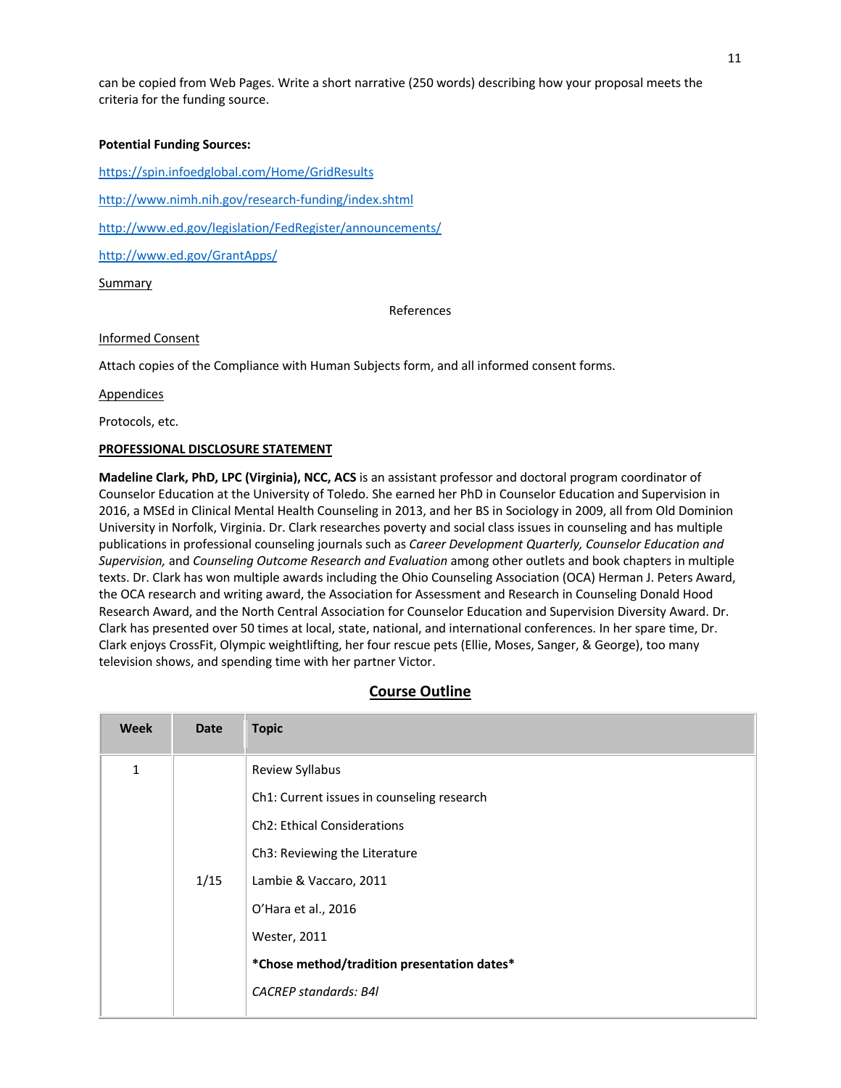can be copied from Web Pages. Write a short narrative (250 words) describing how your proposal meets the criteria for the funding source.

# **Potential Funding Sources:**

https://spin.infoedglobal.com/Home/GridResults

http://www.nimh.nih.gov/research-funding/index.shtml

http://www.ed.gov/legislation/FedRegister/announcements/

http://www.ed.gov/GrantApps/

# Summary

References

# Informed Consent

Attach copies of the Compliance with Human Subjects form, and all informed consent forms.

Appendices

Protocols, etc.

# **PROFESSIONAL DISCLOSURE STATEMENT**

**Madeline Clark, PhD, LPC (Virginia), NCC, ACS** is an assistant professor and doctoral program coordinator of Counselor Education at the University of Toledo. She earned her PhD in Counselor Education and Supervision in 2016, a MSEd in Clinical Mental Health Counseling in 2013, and her BS in Sociology in 2009, all from Old Dominion University in Norfolk, Virginia. Dr. Clark researches poverty and social class issues in counseling and has multiple publications in professional counseling journals such as *Career Development Quarterly, Counselor Education and Supervision,* and *Counseling Outcome Research and Evaluation* among other outlets and book chapters in multiple texts. Dr. Clark has won multiple awards including the Ohio Counseling Association (OCA) Herman J. Peters Award, the OCA research and writing award, the Association for Assessment and Research in Counseling Donald Hood Research Award, and the North Central Association for Counselor Education and Supervision Diversity Award. Dr. Clark has presented over 50 times at local, state, national, and international conferences. In her spare time, Dr. Clark enjoys CrossFit, Olympic weightlifting, her four rescue pets (Ellie, Moses, Sanger, & George), too many television shows, and spending time with her partner Victor.

# **Course Outline**

| <b>Week</b> | Date | <b>Topic</b>                                |
|-------------|------|---------------------------------------------|
| $\mathbf 1$ |      | Review Syllabus                             |
|             |      | Ch1: Current issues in counseling research  |
|             |      | <b>Ch2</b> : Ethical Considerations         |
|             |      | Ch3: Reviewing the Literature               |
|             | 1/15 | Lambie & Vaccaro, 2011                      |
|             |      | O'Hara et al., 2016                         |
|             |      | <b>Wester, 2011</b>                         |
|             |      | *Chose method/tradition presentation dates* |
|             |      | <b>CACREP</b> standards: B4I                |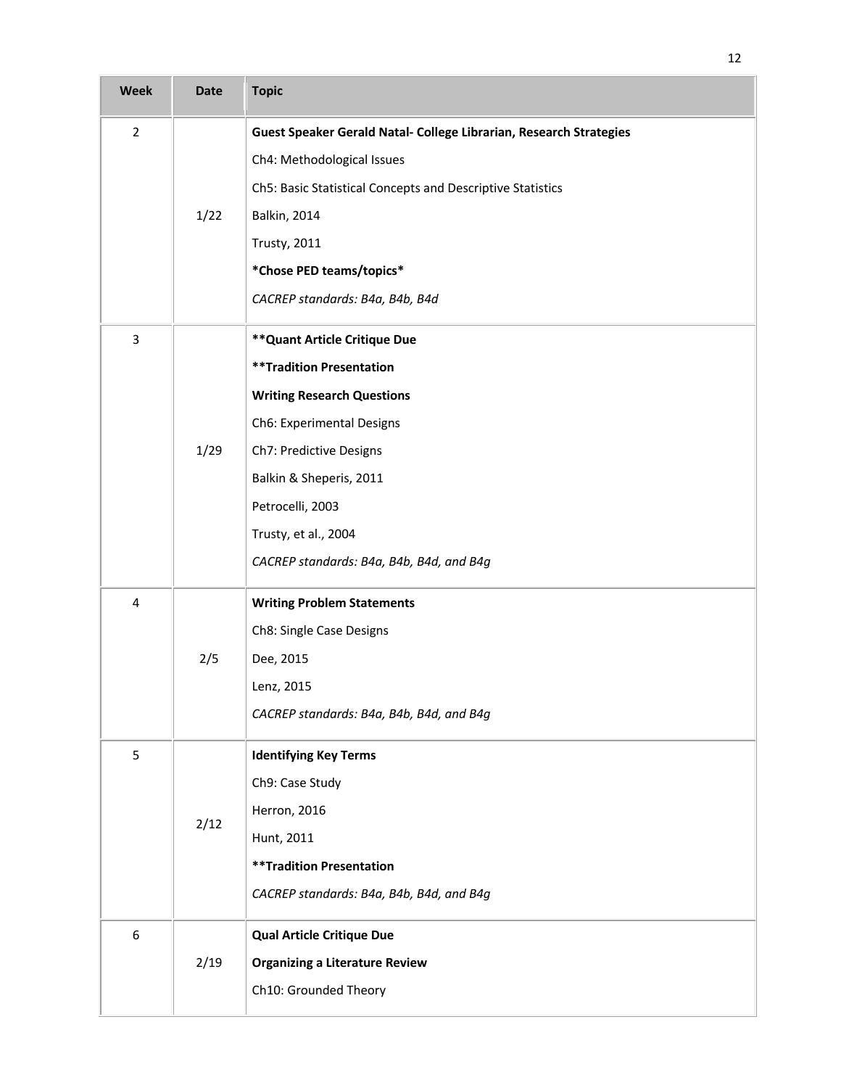| <b>Week</b>             | <b>Date</b> | <b>Topic</b>                                                       |
|-------------------------|-------------|--------------------------------------------------------------------|
| $\overline{2}$          |             | Guest Speaker Gerald Natal- College Librarian, Research Strategies |
|                         |             | Ch4: Methodological Issues                                         |
|                         |             | Ch5: Basic Statistical Concepts and Descriptive Statistics         |
|                         | 1/22        | <b>Balkin, 2014</b>                                                |
|                         |             | <b>Trusty, 2011</b>                                                |
|                         |             | *Chose PED teams/topics*                                           |
|                         |             | CACREP standards: B4a, B4b, B4d                                    |
| 3                       |             | ** Quant Article Critique Due                                      |
|                         |             | <b>**Tradition Presentation</b>                                    |
|                         |             | <b>Writing Research Questions</b>                                  |
|                         |             | Ch6: Experimental Designs                                          |
|                         | 1/29        | Ch7: Predictive Designs                                            |
|                         |             | Balkin & Sheperis, 2011                                            |
|                         |             | Petrocelli, 2003                                                   |
|                         |             | Trusty, et al., 2004                                               |
|                         |             | CACREP standards: B4a, B4b, B4d, and B4g                           |
| $\overline{\mathbf{4}}$ |             | <b>Writing Problem Statements</b>                                  |
|                         |             | Ch8: Single Case Designs                                           |
|                         | 2/5         | Dee, 2015                                                          |
|                         |             | Lenz, 2015                                                         |
|                         |             | CACREP standards: B4a, B4b, B4d, and B4g                           |
| 5                       |             | <b>Identifying Key Terms</b>                                       |
|                         |             | Ch9: Case Study                                                    |
|                         | 2/12        | Herron, 2016                                                       |
|                         |             | Hunt, 2011                                                         |
|                         |             | <b>**Tradition Presentation</b>                                    |
|                         |             | CACREP standards: B4a, B4b, B4d, and B4g                           |
| 6                       |             | <b>Qual Article Critique Due</b>                                   |
|                         | 2/19        | <b>Organizing a Literature Review</b>                              |
|                         |             | Ch10: Grounded Theory                                              |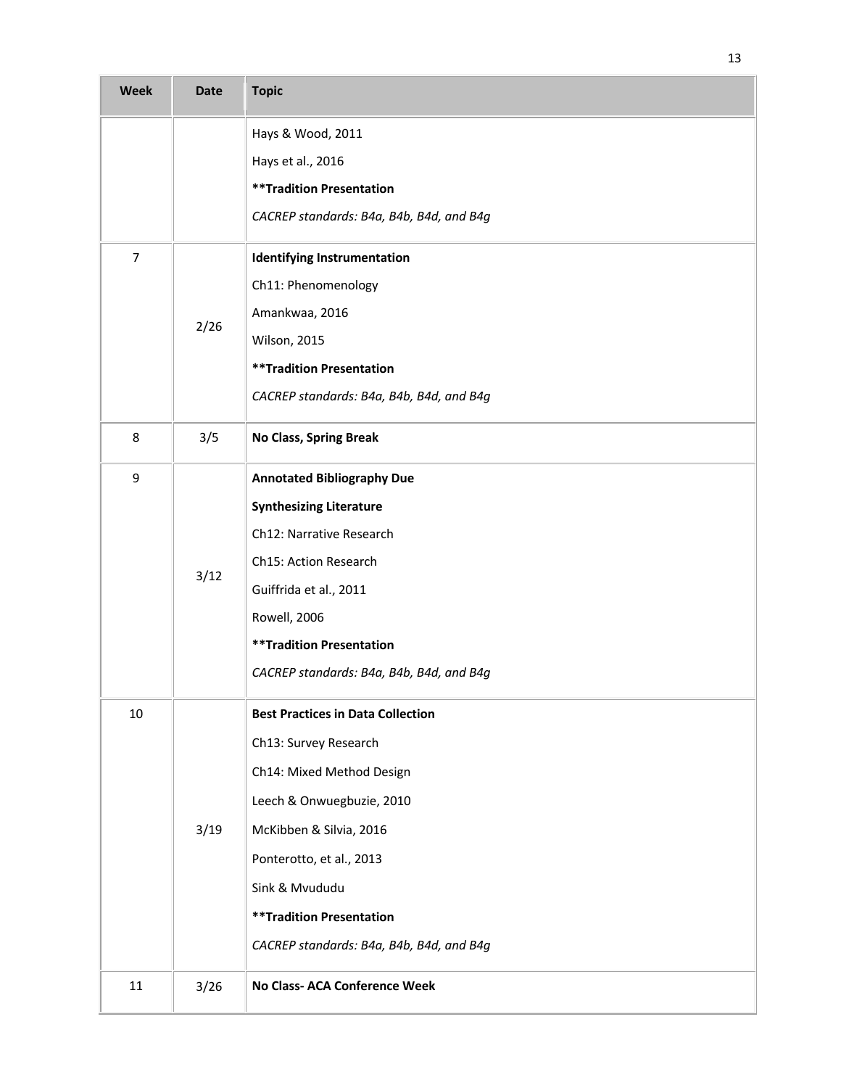| <b>Week</b> | <b>Date</b> | <b>Topic</b>                             |
|-------------|-------------|------------------------------------------|
|             |             | Hays & Wood, 2011                        |
|             |             | Hays et al., 2016                        |
|             |             | <b>**Tradition Presentation</b>          |
|             |             | CACREP standards: B4a, B4b, B4d, and B4g |
| 7           |             | <b>Identifying Instrumentation</b>       |
|             |             | Ch11: Phenomenology                      |
|             | 2/26        | Amankwaa, 2016                           |
|             |             | <b>Wilson, 2015</b>                      |
|             |             | <b>**Tradition Presentation</b>          |
|             |             | CACREP standards: B4a, B4b, B4d, and B4g |
| 8           | 3/5         | No Class, Spring Break                   |
| 9           |             | <b>Annotated Bibliography Due</b>        |
|             |             | <b>Synthesizing Literature</b>           |
|             |             | Ch12: Narrative Research                 |
|             |             | Ch15: Action Research                    |
|             | 3/12        | Guiffrida et al., 2011                   |
|             |             | Rowell, 2006                             |
|             |             | <b>**Tradition Presentation</b>          |
|             |             | CACREP standards: B4a, B4b, B4d, and B4g |
| 10          |             | <b>Best Practices in Data Collection</b> |
|             |             | Ch13: Survey Research                    |
|             |             | Ch14: Mixed Method Design                |
|             |             | Leech & Onwuegbuzie, 2010                |
|             | 3/19        | McKibben & Silvia, 2016                  |
|             |             | Ponterotto, et al., 2013                 |
|             |             | Sink & Mvududu                           |
|             |             | <b>**Tradition Presentation</b>          |
|             |             | CACREP standards: B4a, B4b, B4d, and B4g |
| 11          | $3/26$      | No Class- ACA Conference Week            |